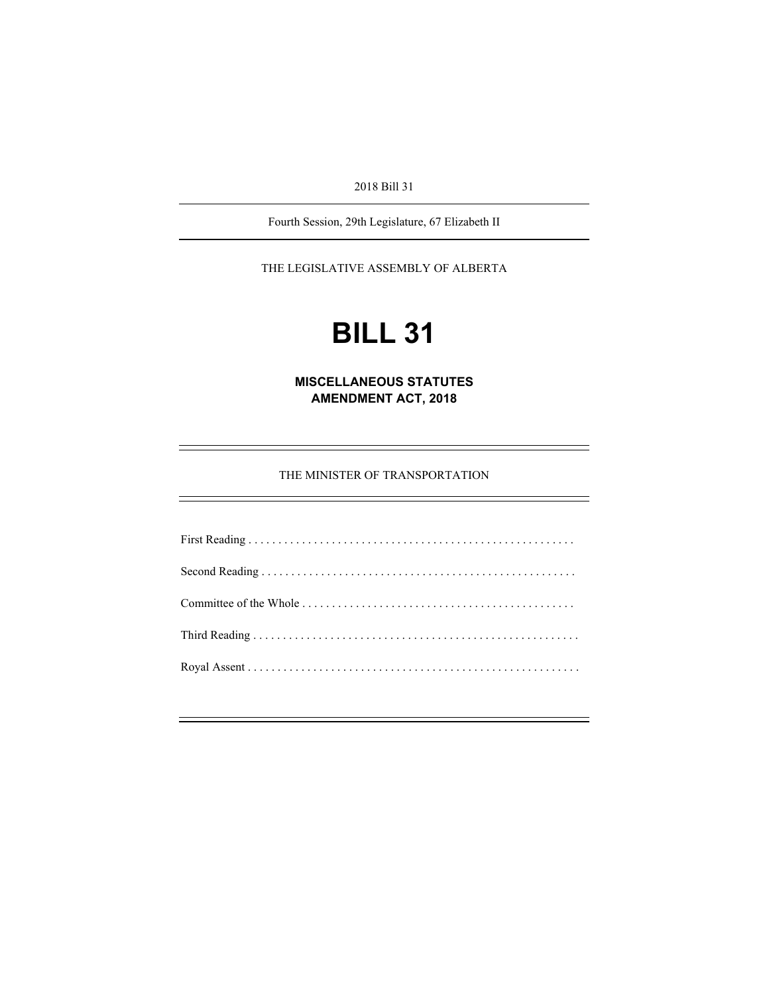2018 Bill 31

Fourth Session, 29th Legislature, 67 Elizabeth II

THE LEGISLATIVE ASSEMBLY OF ALBERTA

# **BILL 31**

**MISCELLANEOUS STATUTES AMENDMENT ACT, 2018** 

THE MINISTER OF TRANSPORTATION

First Reading . . . . . . . . . . . . . . . . . . . . . . . . . . . . . . . . . . . . . . . . . . . . . . . . . . . . . . . Second Reading . . . . . . . . . . . . . . . . . . . . . . . . . . . . . . . . . . . . . . . . . . . . . . . . . . . . . Committee of the Whole . . . . . . . . . . . . . . . . . . . . . . . . . . . . . . . . . . . . . . . . . . . . . . Third Reading . . . . . . . . . . . . . . . . . . . . . . . . . . . . . . . . . . . . . . . . . . . . . . . . . . . . . . . Royal Assent . . . . . . . . . . . . . . . . . . . . . . . . . . . . . . . . . . . . . . . . . . . . . . . . . . . . . . . .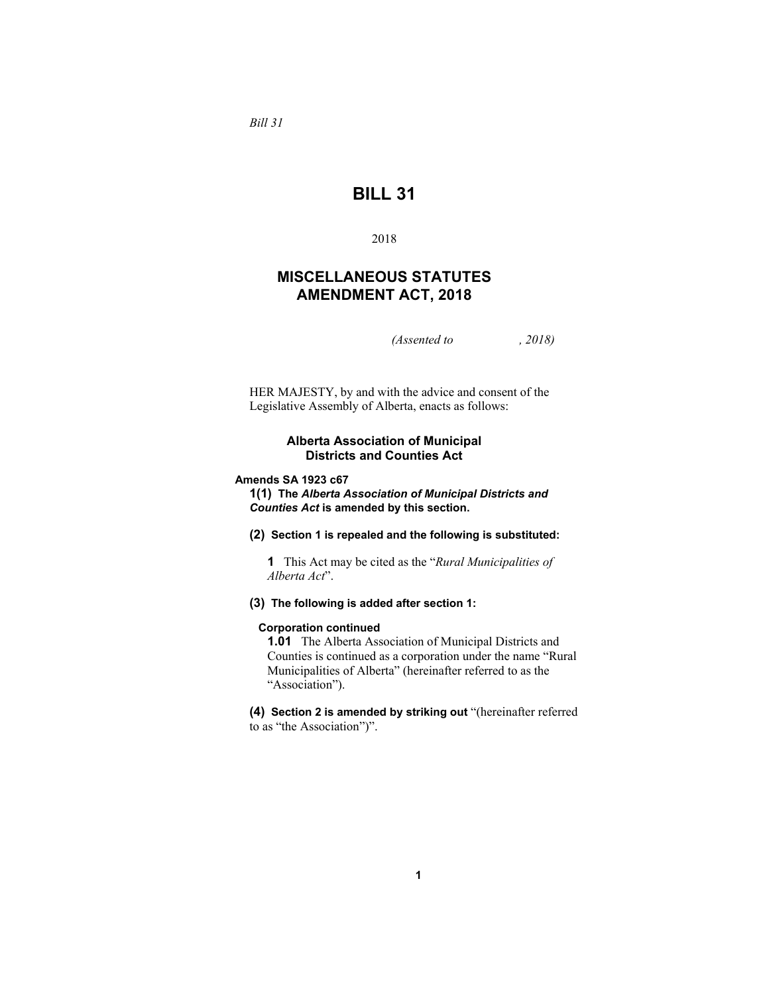*Bill 31* 

# **BILL 31**

2018

# **MISCELLANEOUS STATUTES AMENDMENT ACT, 2018**

*(Assented to , 2018)* 

HER MAJESTY, by and with the advice and consent of the Legislative Assembly of Alberta, enacts as follows:

## **Alberta Association of Municipal Districts and Counties Act**

#### **Amends SA 1923 c67**

**1(1) The** *Alberta Association of Municipal Districts and Counties Act* **is amended by this section.**

**(2) Section 1 is repealed and the following is substituted:** 

**1** This Act may be cited as the "*Rural Municipalities of Alberta Act*".

## **(3) The following is added after section 1:**

#### **Corporation continued**

**1.01** The Alberta Association of Municipal Districts and Counties is continued as a corporation under the name "Rural Municipalities of Alberta" (hereinafter referred to as the "Association").

**(4) Section 2 is amended by striking out** "(hereinafter referred to as "the Association")".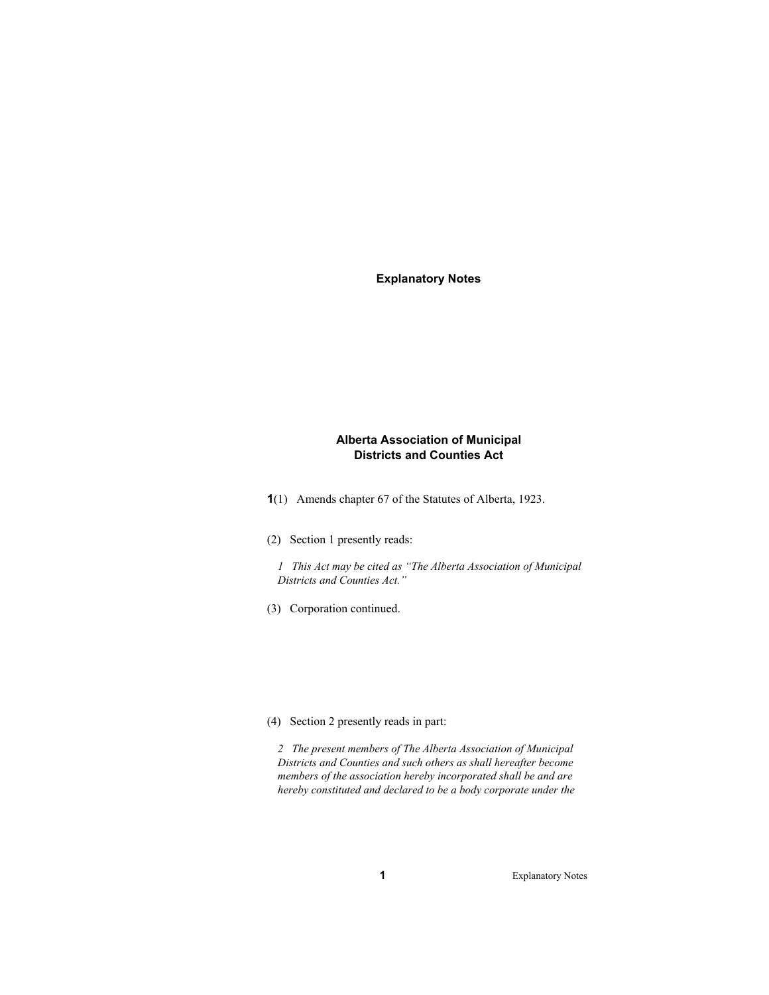**Explanatory Notes** 

## **Alberta Association of Municipal Districts and Counties Act**

**1**(1) Amends chapter 67 of the Statutes of Alberta, 1923.

(2) Section 1 presently reads:

*1 This Act may be cited as "The Alberta Association of Municipal Districts and Counties Act."* 

(3) Corporation continued.

#### (4) Section 2 presently reads in part:

*2 The present members of The Alberta Association of Municipal Districts and Counties and such others as shall hereafter become members of the association hereby incorporated shall be and are hereby constituted and declared to be a body corporate under the*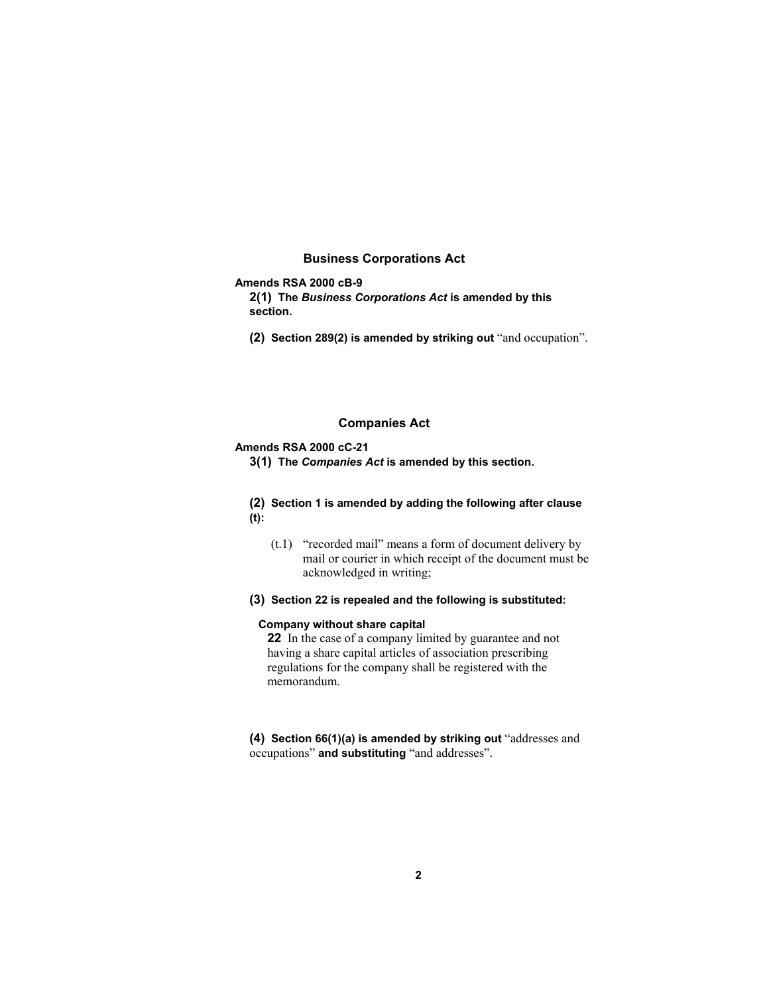## **Business Corporations Act**

## **Amends RSA 2000 cB-9**

**2(1) The** *Business Corporations Act* **is amended by this section.** 

**(2) Section 289(2) is amended by striking out** "and occupation".

#### **Companies Act**

#### **Amends RSA 2000 cC-21**

**3(1) The** *Companies Act* **is amended by this section.**

## **(2) Section 1 is amended by adding the following after clause (t):**

- (t.1) "recorded mail" means a form of document delivery by mail or courier in which receipt of the document must be acknowledged in writing;
- **(3) Section 22 is repealed and the following is substituted:**

## **Company without share capital**

**22** In the case of a company limited by guarantee and not having a share capital articles of association prescribing regulations for the company shall be registered with the memorandum.

## **(4) Section 66(1)(a) is amended by striking out** "addresses and occupations" **and substituting** "and addresses".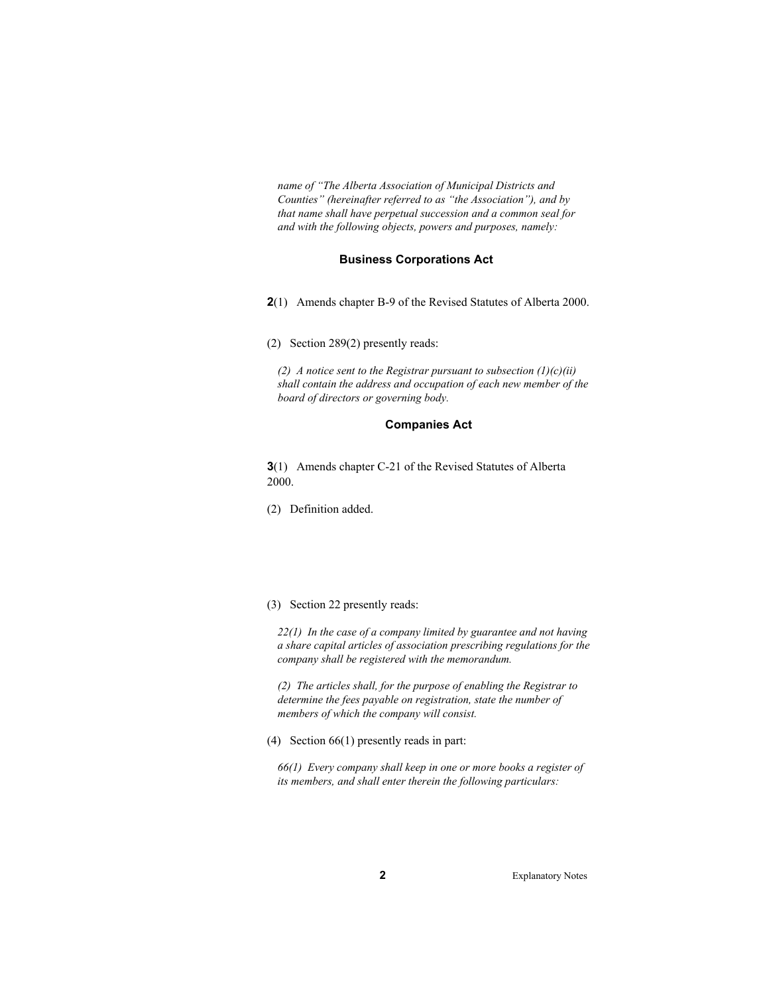*name of "The Alberta Association of Municipal Districts and Counties" (hereinafter referred to as "the Association"), and by that name shall have perpetual succession and a common seal for and with the following objects, powers and purposes, namely:* 

#### **Business Corporations Act**

- **2**(1) Amends chapter B-9 of the Revised Statutes of Alberta 2000.
- (2) Section 289(2) presently reads:

*(2) A notice sent to the Registrar pursuant to subsection (1)(c)(ii) shall contain the address and occupation of each new member of the board of directors or governing body.* 

#### **Companies Act**

**3**(1) Amends chapter C-21 of the Revised Statutes of Alberta 2000.

(2) Definition added.

#### (3) Section 22 presently reads:

*22(1) In the case of a company limited by guarantee and not having a share capital articles of association prescribing regulations for the company shall be registered with the memorandum.* 

*(2) The articles shall, for the purpose of enabling the Registrar to determine the fees payable on registration, state the number of members of which the company will consist.* 

(4) Section 66(1) presently reads in part:

*66(1) Every company shall keep in one or more books a register of its members, and shall enter therein the following particulars:*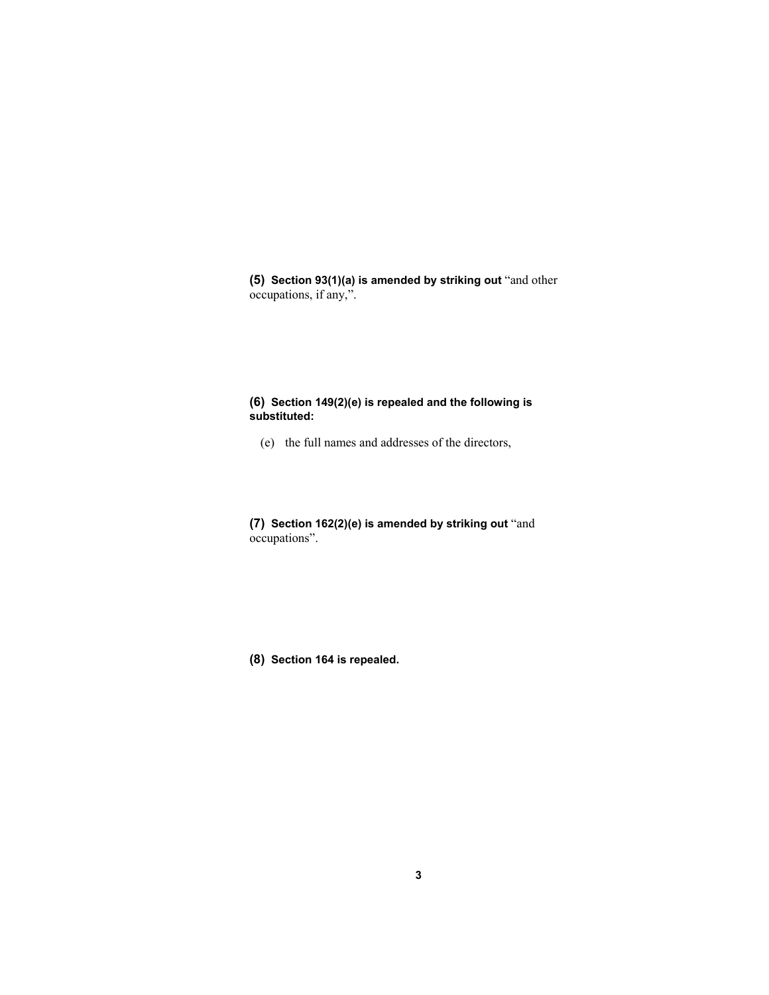**(5) Section 93(1)(a) is amended by striking out** "and other occupations, if any,".

## **(6) Section 149(2)(e) is repealed and the following is substituted:**

(e) the full names and addresses of the directors,

**(7) Section 162(2)(e) is amended by striking out** "and occupations".

**(8) Section 164 is repealed.**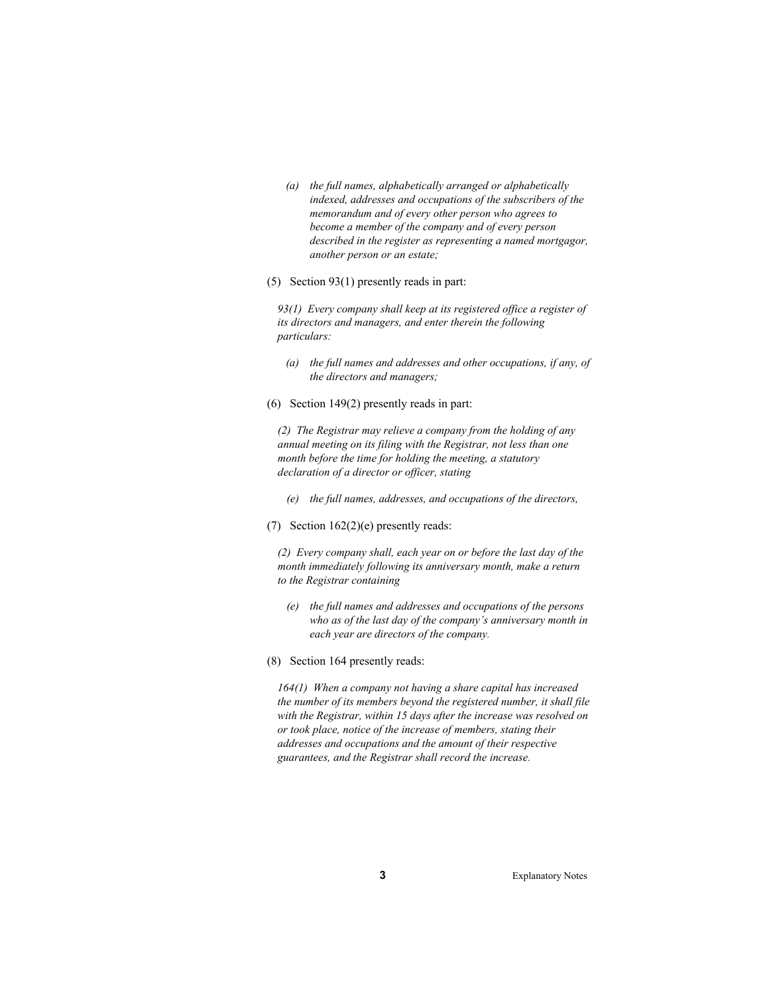- *(a) the full names, alphabetically arranged or alphabetically indexed, addresses and occupations of the subscribers of the memorandum and of every other person who agrees to become a member of the company and of every person described in the register as representing a named mortgagor, another person or an estate;*
- (5) Section 93(1) presently reads in part:

*93(1) Every company shall keep at its registered office a register of its directors and managers, and enter therein the following particulars:* 

- *(a) the full names and addresses and other occupations, if any, of the directors and managers;*
- (6) Section 149(2) presently reads in part:

*(2) The Registrar may relieve a company from the holding of any annual meeting on its filing with the Registrar, not less than one month before the time for holding the meeting, a statutory declaration of a director or officer, stating*

- *(e) the full names, addresses, and occupations of the directors,*
- (7) Section 162(2)(e) presently reads:

*(2) Every company shall, each year on or before the last day of the month immediately following its anniversary month, make a return to the Registrar containing*

- *(e) the full names and addresses and occupations of the persons who as of the last day of the company's anniversary month in each year are directors of the company.*
- (8) Section 164 presently reads:

*164(1) When a company not having a share capital has increased the number of its members beyond the registered number, it shall file with the Registrar, within 15 days after the increase was resolved on or took place, notice of the increase of members, stating their addresses and occupations and the amount of their respective guarantees, and the Registrar shall record the increase.*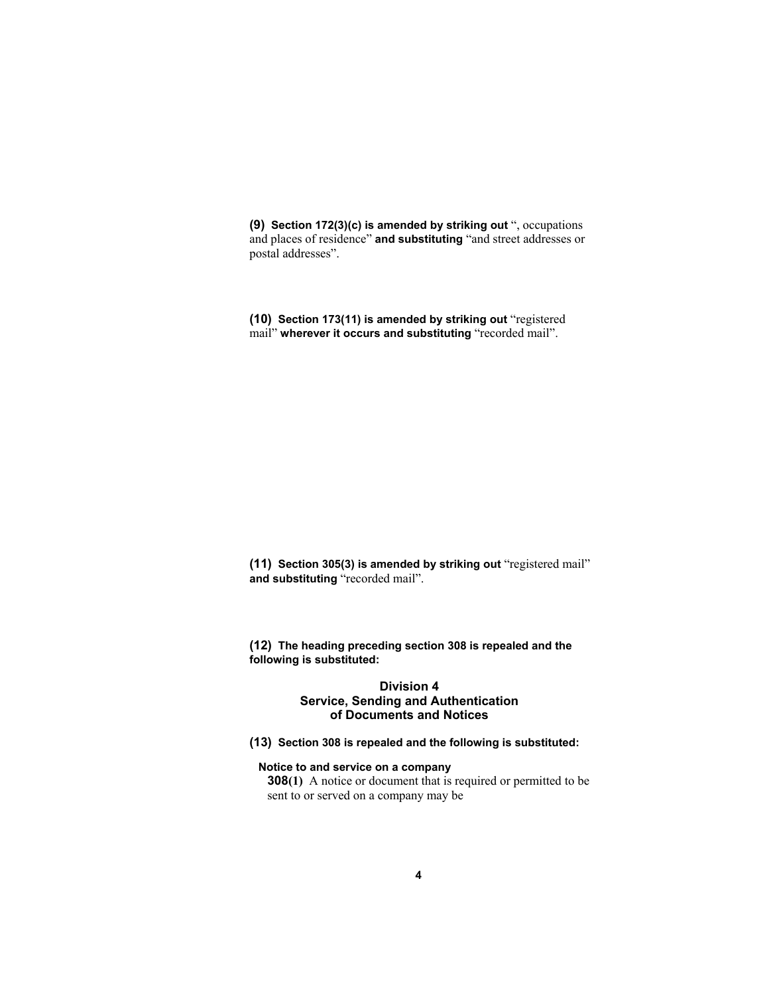**(9) Section 172(3)(c) is amended by striking out** ", occupations and places of residence" **and substituting** "and street addresses or postal addresses".

**(10) Section 173(11) is amended by striking out** "registered mail" **wherever it occurs and substituting** "recorded mail".

**(11) Section 305(3) is amended by striking out** "registered mail" **and substituting** "recorded mail".

**(12) The heading preceding section 308 is repealed and the following is substituted:**

## **Division 4 Service, Sending and Authentication of Documents and Notices**

**(13) Section 308 is repealed and the following is substituted:**

**Notice to and service on a company** 

**308(1)** A notice or document that is required or permitted to be sent to or served on a company may be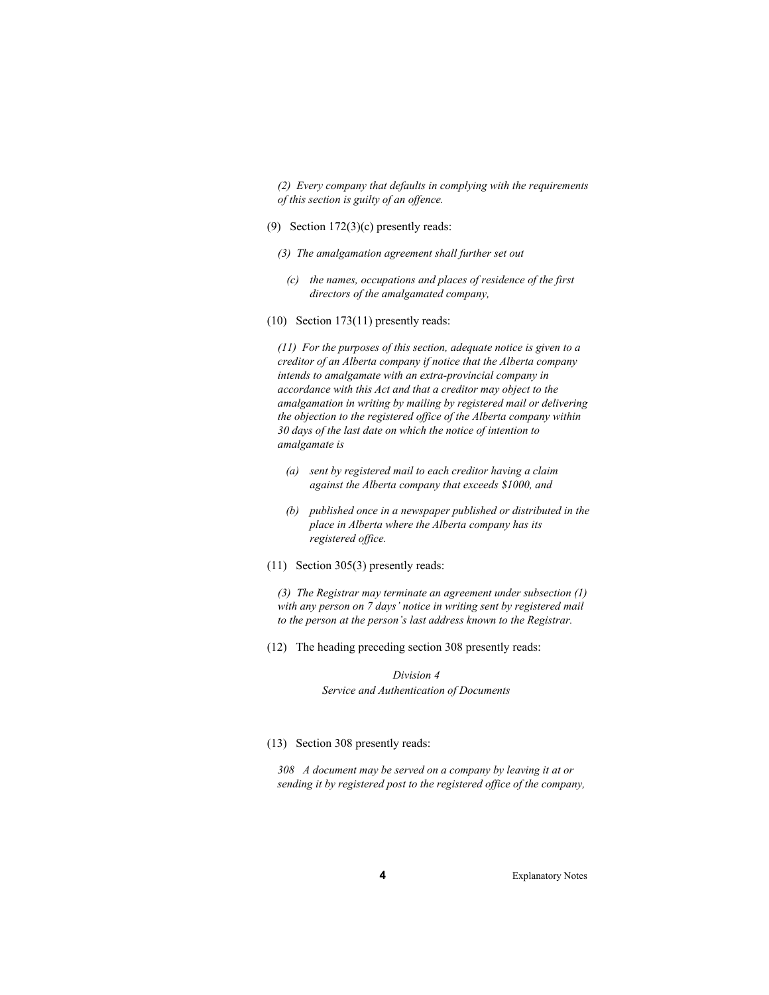*(2) Every company that defaults in complying with the requirements of this section is guilty of an offence.* 

- (9) Section 172(3)(c) presently reads:
	- *(3) The amalgamation agreement shall further set out* 
		- *(c) the names, occupations and places of residence of the first directors of the amalgamated company,*
- (10) Section 173(11) presently reads:

*(11) For the purposes of this section, adequate notice is given to a creditor of an Alberta company if notice that the Alberta company intends to amalgamate with an extra-provincial company in accordance with this Act and that a creditor may object to the amalgamation in writing by mailing by registered mail or delivering the objection to the registered office of the Alberta company within 30 days of the last date on which the notice of intention to amalgamate is* 

- *(a) sent by registered mail to each creditor having a claim against the Alberta company that exceeds \$1000, and*
- *(b) published once in a newspaper published or distributed in the place in Alberta where the Alberta company has its registered office.*
- (11) Section 305(3) presently reads:

*(3) The Registrar may terminate an agreement under subsection (1) with any person on 7 days' notice in writing sent by registered mail to the person at the person's last address known to the Registrar.* 

(12) The heading preceding section 308 presently reads:

*Division 4 Service and Authentication of Documents* 

(13) Section 308 presently reads:

*308 A document may be served on a company by leaving it at or sending it by registered post to the registered office of the company,*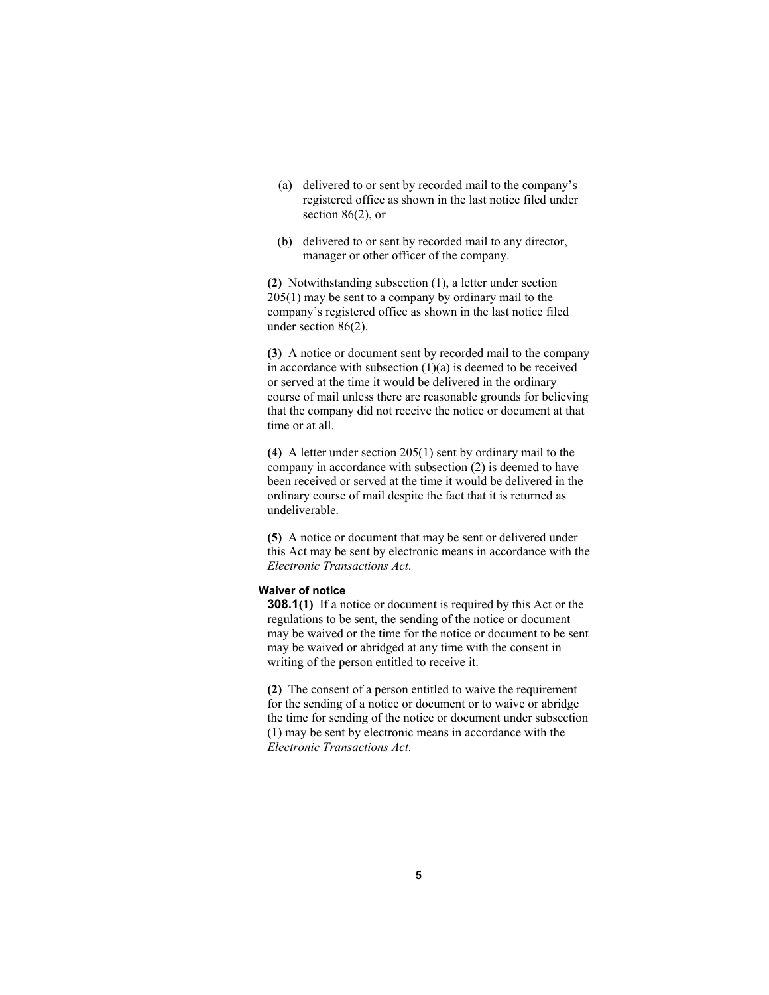- (a) delivered to or sent by recorded mail to the company's registered office as shown in the last notice filed under section 86(2), or
- (b) delivered to or sent by recorded mail to any director, manager or other officer of the company.

**(2)** Notwithstanding subsection (1), a letter under section 205(1) may be sent to a company by ordinary mail to the company's registered office as shown in the last notice filed under section 86(2).

**(3)** A notice or document sent by recorded mail to the company in accordance with subsection  $(1)(a)$  is deemed to be received or served at the time it would be delivered in the ordinary course of mail unless there are reasonable grounds for believing that the company did not receive the notice or document at that time or at all.

**(4)** A letter under section 205(1) sent by ordinary mail to the company in accordance with subsection (2) is deemed to have been received or served at the time it would be delivered in the ordinary course of mail despite the fact that it is returned as undeliverable.

**(5)** A notice or document that may be sent or delivered under this Act may be sent by electronic means in accordance with the *Electronic Transactions Act*.

#### **Waiver of notice**

**308.1(1)** If a notice or document is required by this Act or the regulations to be sent, the sending of the notice or document may be waived or the time for the notice or document to be sent may be waived or abridged at any time with the consent in writing of the person entitled to receive it.

**(2)** The consent of a person entitled to waive the requirement for the sending of a notice or document or to waive or abridge the time for sending of the notice or document under subsection (1) may be sent by electronic means in accordance with the *Electronic Transactions Act*.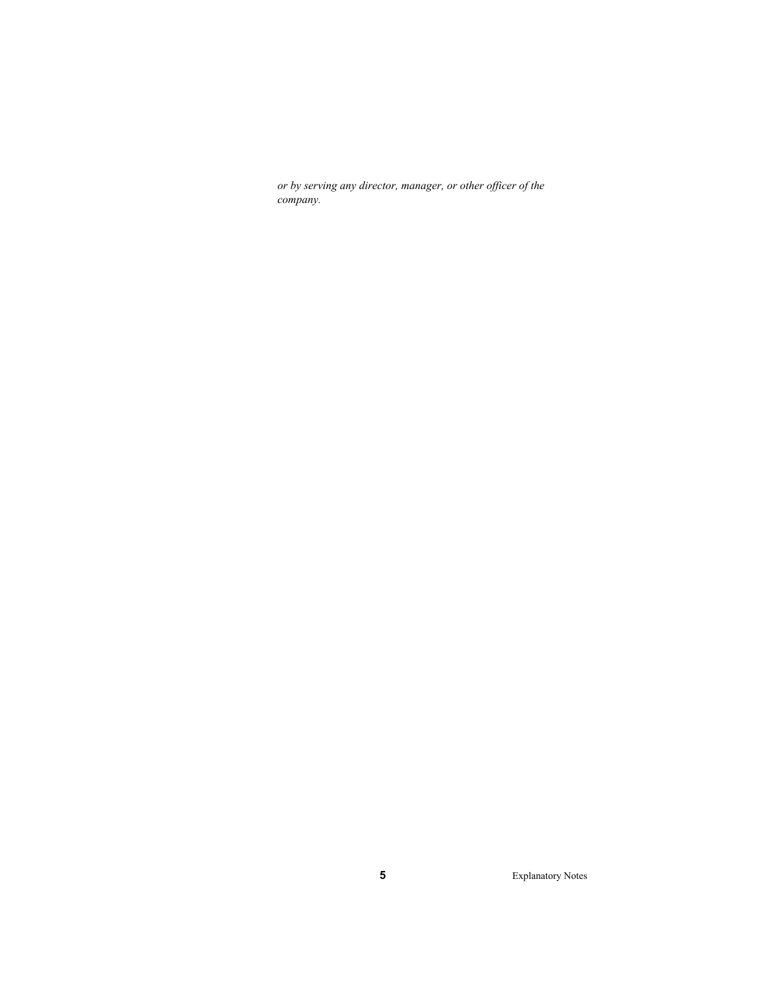*or by serving any director, manager, or other officer of the company.*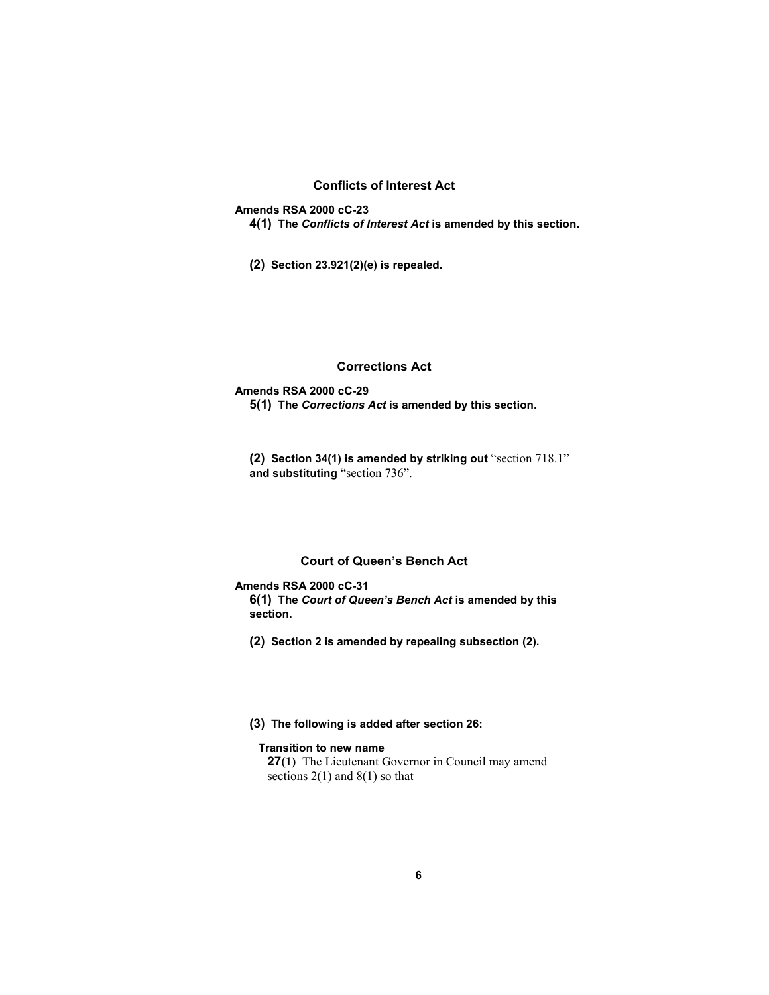## **Conflicts of Interest Act**

**Amends RSA 2000 cC-23** 

- **4(1) The** *Conflicts of Interest Act* **is amended by this section.**
- **(2) Section 23.921(2)(e) is repealed.**

# **Corrections Act**

#### **Amends RSA 2000 cC-29**

**5(1) The** *Corrections Act* **is amended by this section.**

**(2) Section 34(1) is amended by striking out** "section 718.1" **and substituting** "section 736".

## **Court of Queen's Bench Act**

## **Amends RSA 2000 cC-31**

**6(1) The** *Court of Queen's Bench Act* **is amended by this section.** 

**(2) Section 2 is amended by repealing subsection (2).**

## **(3) The following is added after section 26:**

## **Transition to new name**

**27(1)** The Lieutenant Governor in Council may amend sections  $2(1)$  and  $8(1)$  so that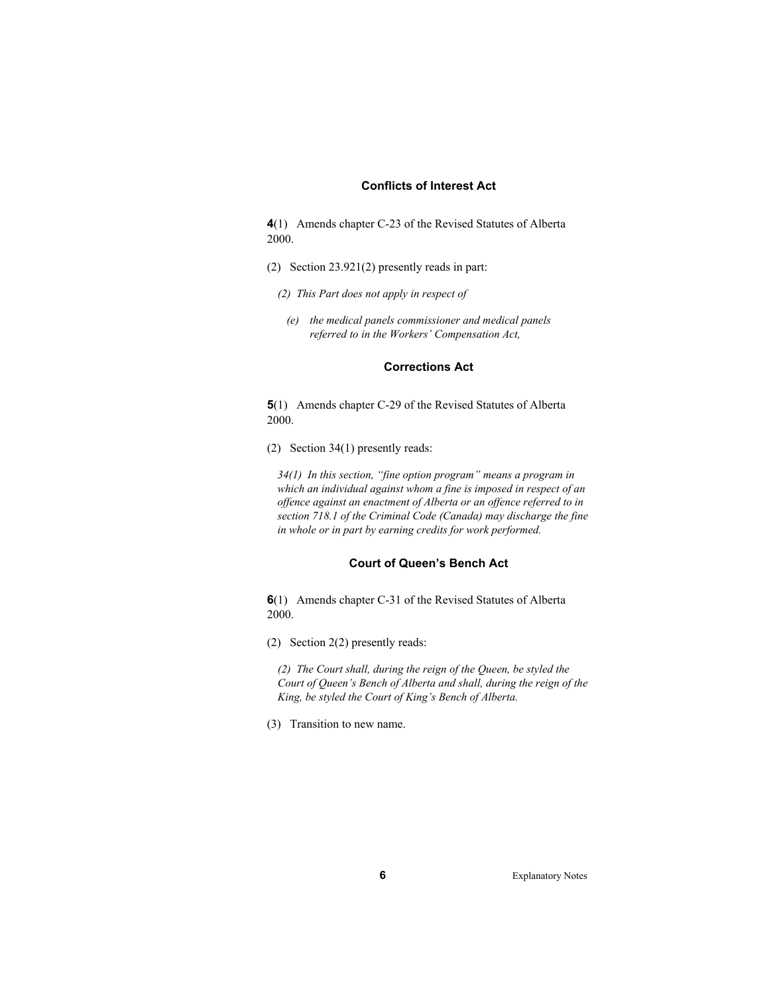## **Conflicts of Interest Act**

**4**(1) Amends chapter C-23 of the Revised Statutes of Alberta 2000.

- (2) Section 23.921(2) presently reads in part:
	- *(2) This Part does not apply in respect of* 
		- *(e) the medical panels commissioner and medical panels referred to in the Workers' Compensation Act,*

#### **Corrections Act**

**5**(1) Amends chapter C-29 of the Revised Statutes of Alberta 2000.

(2) Section 34(1) presently reads:

*34(1) In this section, "fine option program" means a program in which an individual against whom a fine is imposed in respect of an offence against an enactment of Alberta or an offence referred to in section 718.1 of the Criminal Code (Canada) may discharge the fine in whole or in part by earning credits for work performed.* 

## **Court of Queen's Bench Act**

**6**(1) Amends chapter C-31 of the Revised Statutes of Alberta 2000.

(2) Section 2(2) presently reads:

*(2) The Court shall, during the reign of the Queen, be styled the Court of Queen's Bench of Alberta and shall, during the reign of the King, be styled the Court of King's Bench of Alberta.* 

(3) Transition to new name.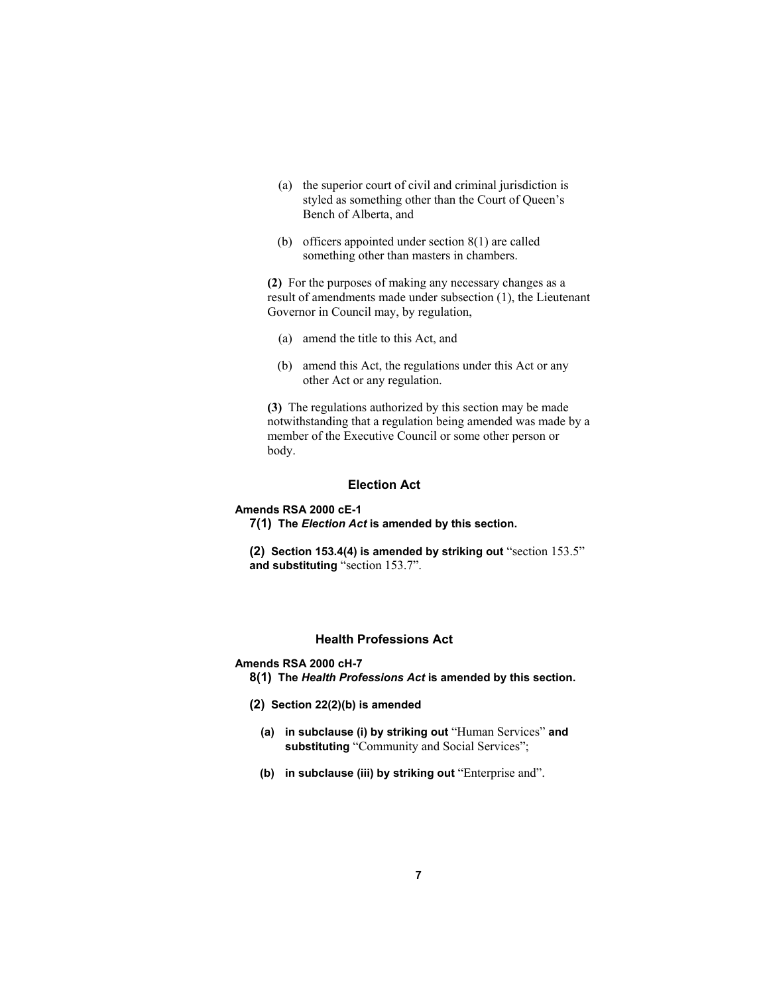- (a) the superior court of civil and criminal jurisdiction is styled as something other than the Court of Queen's Bench of Alberta, and
- (b) officers appointed under section 8(1) are called something other than masters in chambers.

**(2)** For the purposes of making any necessary changes as a result of amendments made under subsection (1), the Lieutenant Governor in Council may, by regulation,

- (a) amend the title to this Act, and
- (b) amend this Act, the regulations under this Act or any other Act or any regulation.

**(3)** The regulations authorized by this section may be made notwithstanding that a regulation being amended was made by a member of the Executive Council or some other person or body.

## **Election Act**

#### **Amends RSA 2000 cE-1**

- **7(1) The** *Election Act* **is amended by this section.**
- **(2) Section 153.4(4) is amended by striking out** "section 153.5" **and substituting** "section 153.7".

## **Health Professions Act**

# **Amends RSA 2000 cH-7**

- **8(1) The** *Health Professions Act* **is amended by this section.**
- **(2) Section 22(2)(b) is amended**
	- **(a) in subclause (i) by striking out** "Human Services" **and substituting** "Community and Social Services";
	- **(b) in subclause (iii) by striking out** "Enterprise and".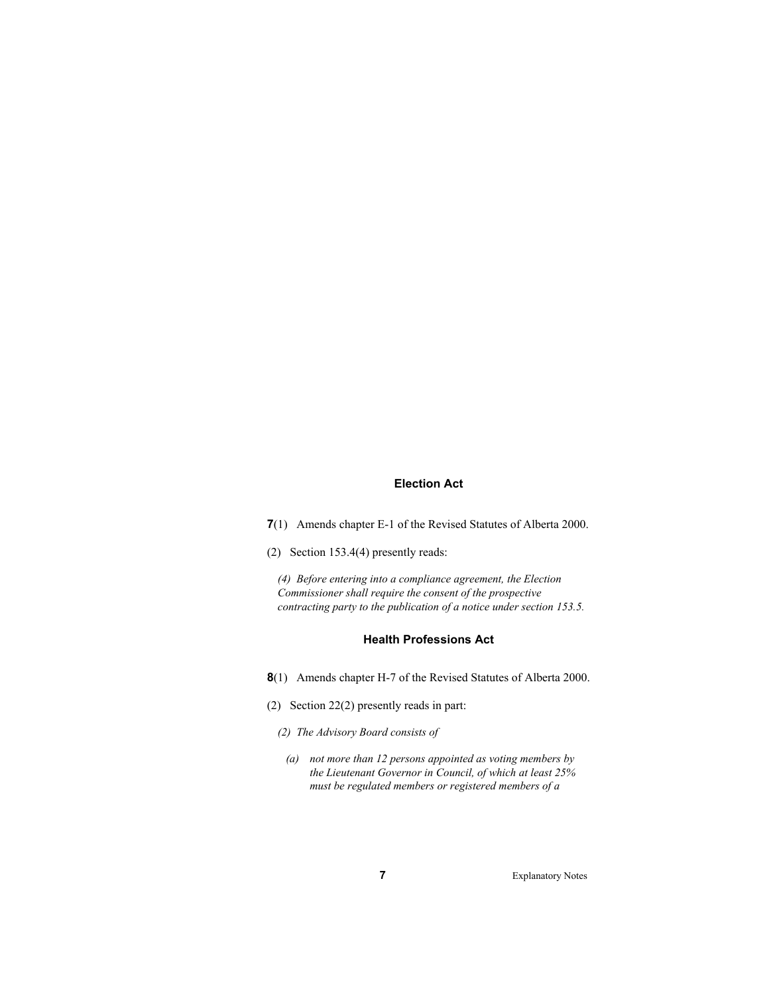## **Election Act**

**7**(1) Amends chapter E-1 of the Revised Statutes of Alberta 2000.

(2) Section 153.4(4) presently reads:

*(4) Before entering into a compliance agreement, the Election Commissioner shall require the consent of the prospective contracting party to the publication of a notice under section 153.5.* 

## **Health Professions Act**

- **8**(1) Amends chapter H-7 of the Revised Statutes of Alberta 2000.
- (2) Section 22(2) presently reads in part:
	- *(2) The Advisory Board consists of* 
		- *(a) not more than 12 persons appointed as voting members by the Lieutenant Governor in Council, of which at least 25% must be regulated members or registered members of a*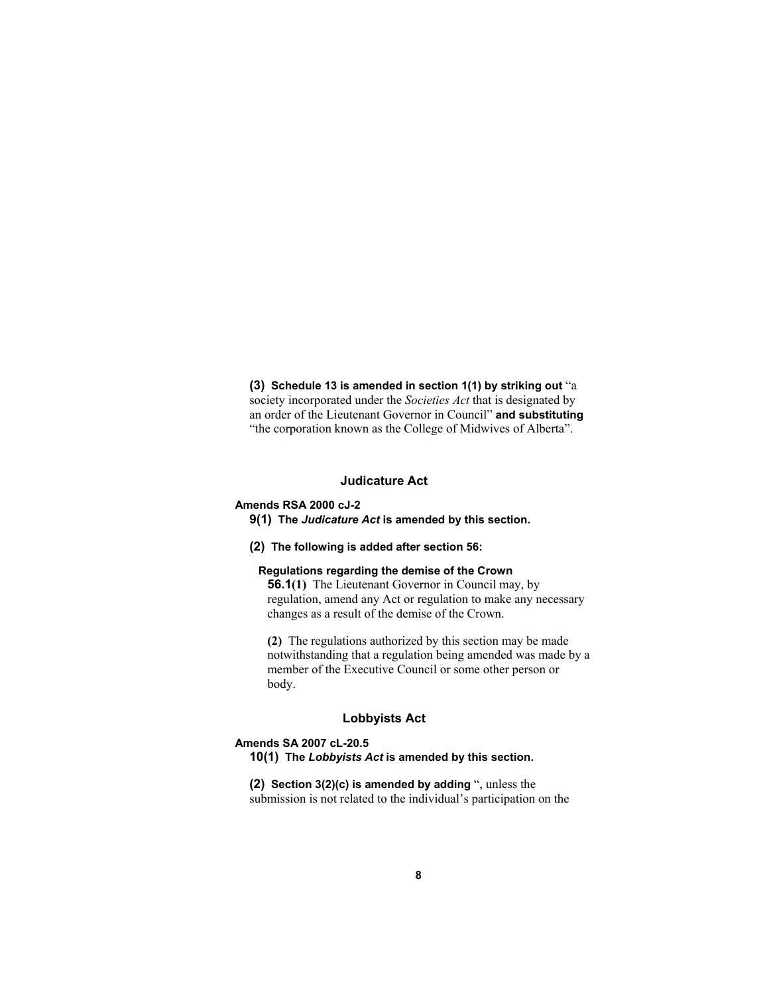**(3) Schedule 13 is amended in section 1(1) by striking out** "a society incorporated under the *Societies Act* that is designated by an order of the Lieutenant Governor in Council" **and substituting** "the corporation known as the College of Midwives of Alberta".

#### **Judicature Act**

## **Amends RSA 2000 cJ-2**

**9(1) The** *Judicature Act* **is amended by this section.**

**(2) The following is added after section 56:**

#### **Regulations regarding the demise of the Crown**

**56.1(1)** The Lieutenant Governor in Council may, by regulation, amend any Act or regulation to make any necessary changes as a result of the demise of the Crown.

**(2)** The regulations authorized by this section may be made notwithstanding that a regulation being amended was made by a member of the Executive Council or some other person or body.

#### **Lobbyists Act**

#### **Amends SA 2007 cL-20.5 10(1) The** *Lobbyists Act* **is amended by this section.**

**(2) Section 3(2)(c) is amended by adding** ", unless the submission is not related to the individual's participation on the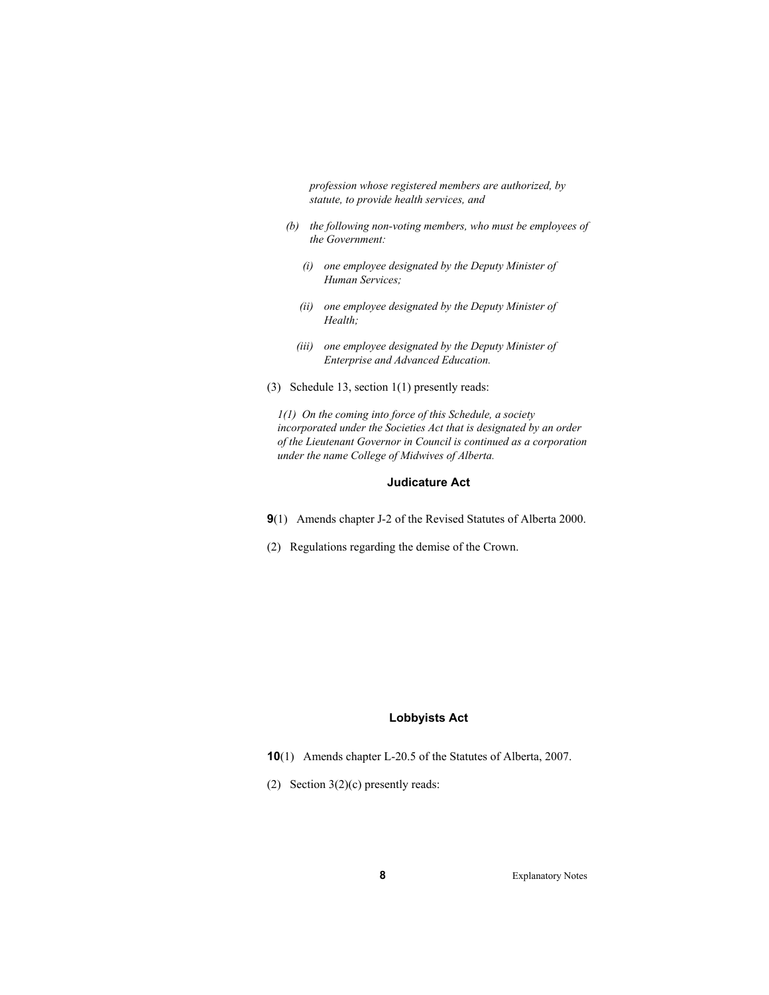*profession whose registered members are authorized, by statute, to provide health services, and* 

- *(b) the following non-voting members, who must be employees of the Government:* 
	- *(i) one employee designated by the Deputy Minister of Human Services;*
	- *(ii) one employee designated by the Deputy Minister of Health;*
	- *(iii) one employee designated by the Deputy Minister of Enterprise and Advanced Education.*
- (3) Schedule 13, section 1(1) presently reads:

*1(1) On the coming into force of this Schedule, a society incorporated under the Societies Act that is designated by an order of the Lieutenant Governor in Council is continued as a corporation under the name College of Midwives of Alberta.* 

### **Judicature Act**

- **9**(1) Amends chapter J-2 of the Revised Statutes of Alberta 2000.
- (2) Regulations regarding the demise of the Crown.

## **Lobbyists Act**

- **10**(1) Amends chapter L-20.5 of the Statutes of Alberta, 2007.
- (2) Section 3(2)(c) presently reads: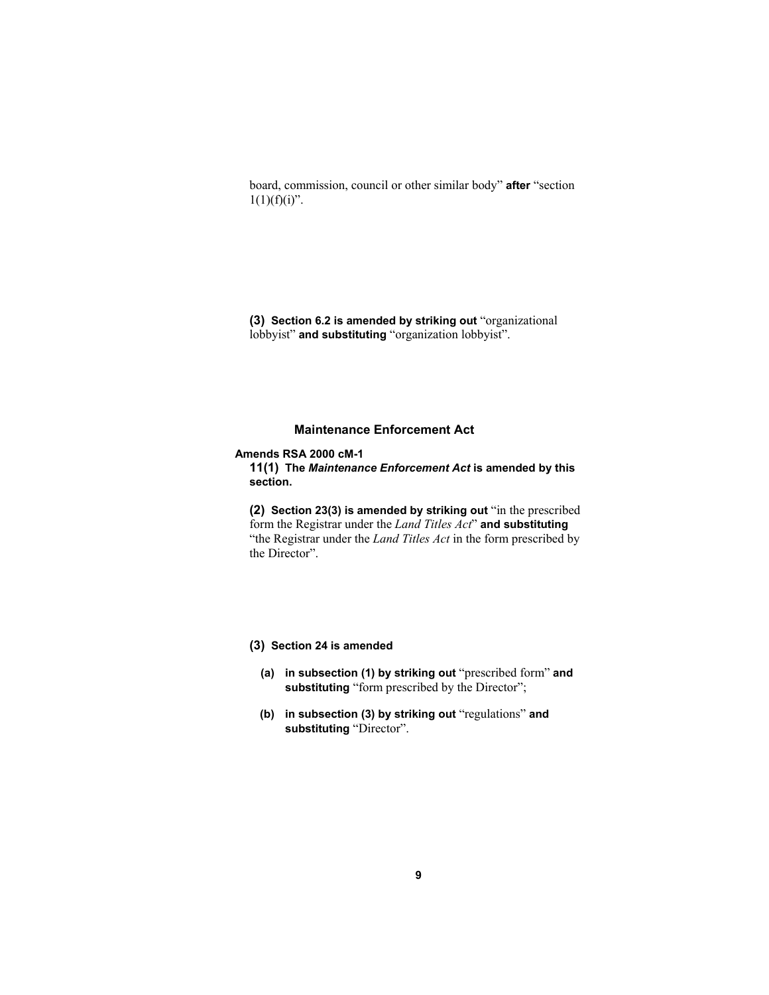board, commission, council or other similar body" **after** "section  $1(1)(f)(i)$ ".

**(3) Section 6.2 is amended by striking out** "organizational lobbyist" **and substituting** "organization lobbyist".

## **Maintenance Enforcement Act**

#### **Amends RSA 2000 cM-1**

**11(1) The** *Maintenance Enforcement Act* **is amended by this section.**

**(2) Section 23(3) is amended by striking out** "in the prescribed form the Registrar under the *Land Titles Act*" **and substituting** "the Registrar under the *Land Titles Act* in the form prescribed by the Director".

## **(3) Section 24 is amended**

- **(a) in subsection (1) by striking out** "prescribed form" **and substituting** "form prescribed by the Director";
- **(b) in subsection (3) by striking out** "regulations" **and substituting** "Director".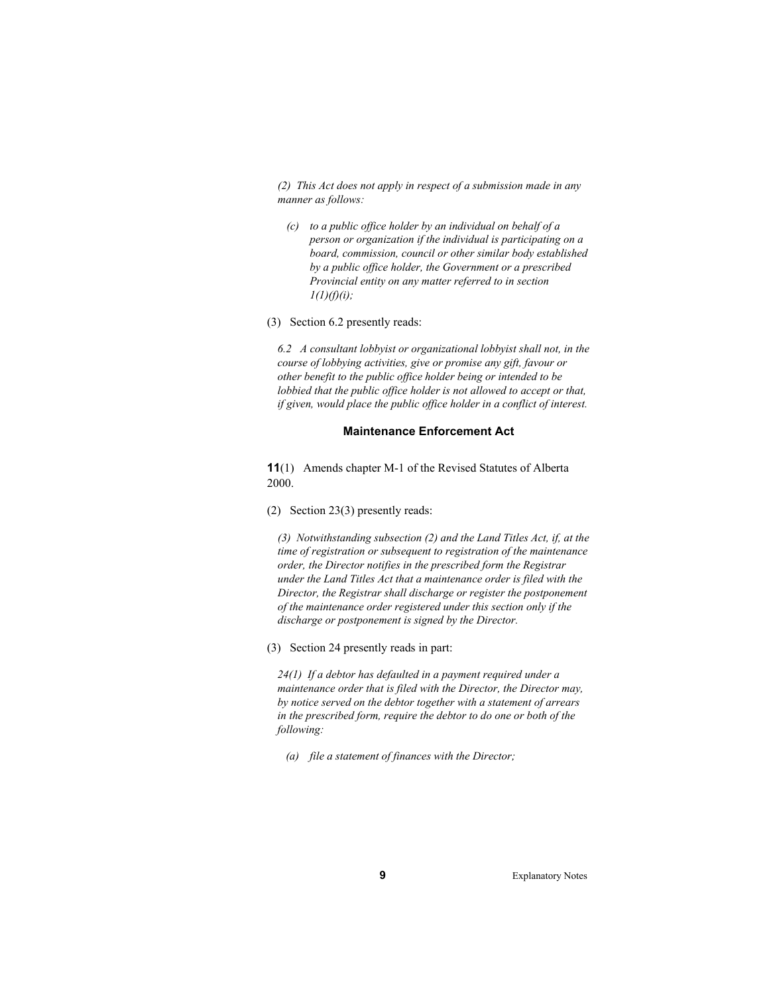*(2) This Act does not apply in respect of a submission made in any manner as follows:* 

- *(c) to a public office holder by an individual on behalf of a person or organization if the individual is participating on a board, commission, council or other similar body established by a public office holder, the Government or a prescribed Provincial entity on any matter referred to in section 1(1)(f)(i);*
- (3) Section 6.2 presently reads:

*6.2 A consultant lobbyist or organizational lobbyist shall not, in the course of lobbying activities, give or promise any gift, favour or other benefit to the public office holder being or intended to be lobbied that the public office holder is not allowed to accept or that, if given, would place the public office holder in a conflict of interest.* 

#### **Maintenance Enforcement Act**

**11**(1) Amends chapter M-1 of the Revised Statutes of Alberta 2000.

(2) Section 23(3) presently reads:

*(3) Notwithstanding subsection (2) and the Land Titles Act, if, at the time of registration or subsequent to registration of the maintenance order, the Director notifies in the prescribed form the Registrar under the Land Titles Act that a maintenance order is filed with the Director, the Registrar shall discharge or register the postponement of the maintenance order registered under this section only if the discharge or postponement is signed by the Director.* 

(3) Section 24 presently reads in part:

*24(1) If a debtor has defaulted in a payment required under a maintenance order that is filed with the Director, the Director may, by notice served on the debtor together with a statement of arrears in the prescribed form, require the debtor to do one or both of the following:* 

 *(a) file a statement of finances with the Director;*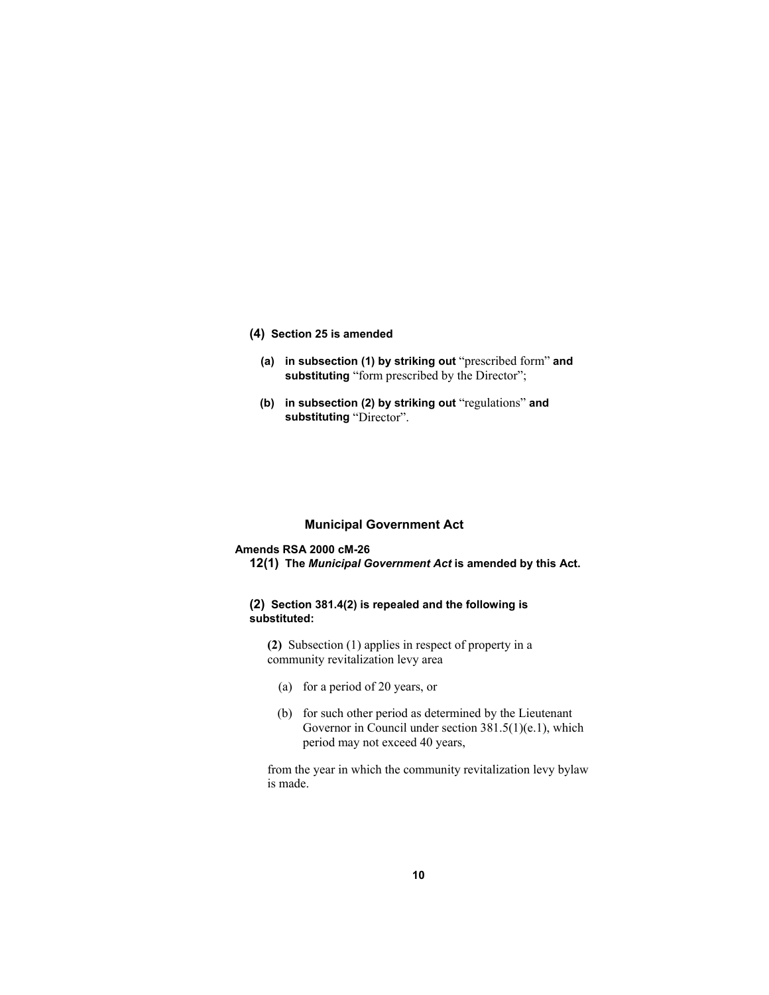#### **(4) Section 25 is amended**

- **(a) in subsection (1) by striking out** "prescribed form" **and**  substituting "form prescribed by the Director";
- **(b) in subsection (2) by striking out** "regulations" **and substituting** "Director".

## **Municipal Government Act**

## **Amends RSA 2000 cM-26**

**12(1) The** *Municipal Government Act* **is amended by this Act.**

## **(2) Section 381.4(2) is repealed and the following is substituted:**

**(2)** Subsection (1) applies in respect of property in a community revitalization levy area

- (a) for a period of 20 years, or
- (b) for such other period as determined by the Lieutenant Governor in Council under section 381.5(1)(e.1), which period may not exceed 40 years,

from the year in which the community revitalization levy bylaw is made.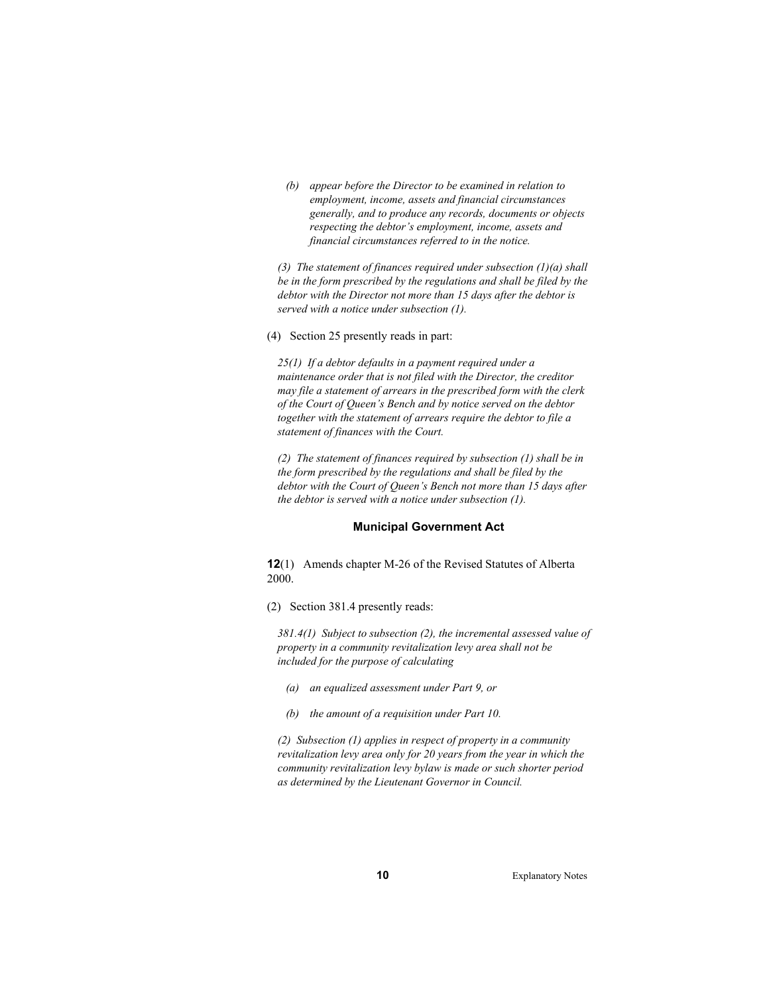*(b) appear before the Director to be examined in relation to employment, income, assets and financial circumstances generally, and to produce any records, documents or objects respecting the debtor's employment, income, assets and financial circumstances referred to in the notice.* 

*(3) The statement of finances required under subsection (1)(a) shall be in the form prescribed by the regulations and shall be filed by the debtor with the Director not more than 15 days after the debtor is served with a notice under subsection (1).* 

(4) Section 25 presently reads in part:

*25(1) If a debtor defaults in a payment required under a maintenance order that is not filed with the Director, the creditor may file a statement of arrears in the prescribed form with the clerk of the Court of Queen's Bench and by notice served on the debtor together with the statement of arrears require the debtor to file a statement of finances with the Court.* 

*(2) The statement of finances required by subsection (1) shall be in the form prescribed by the regulations and shall be filed by the debtor with the Court of Queen's Bench not more than 15 days after the debtor is served with a notice under subsection (1).* 

#### **Municipal Government Act**

**12**(1) Amends chapter M-26 of the Revised Statutes of Alberta 2000.

(2) Section 381.4 presently reads:

*381.4(1) Subject to subsection (2), the incremental assessed value of property in a community revitalization levy area shall not be included for the purpose of calculating* 

- *(a) an equalized assessment under Part 9, or*
- *(b) the amount of a requisition under Part 10.*

*(2) Subsection (1) applies in respect of property in a community revitalization levy area only for 20 years from the year in which the community revitalization levy bylaw is made or such shorter period as determined by the Lieutenant Governor in Council.*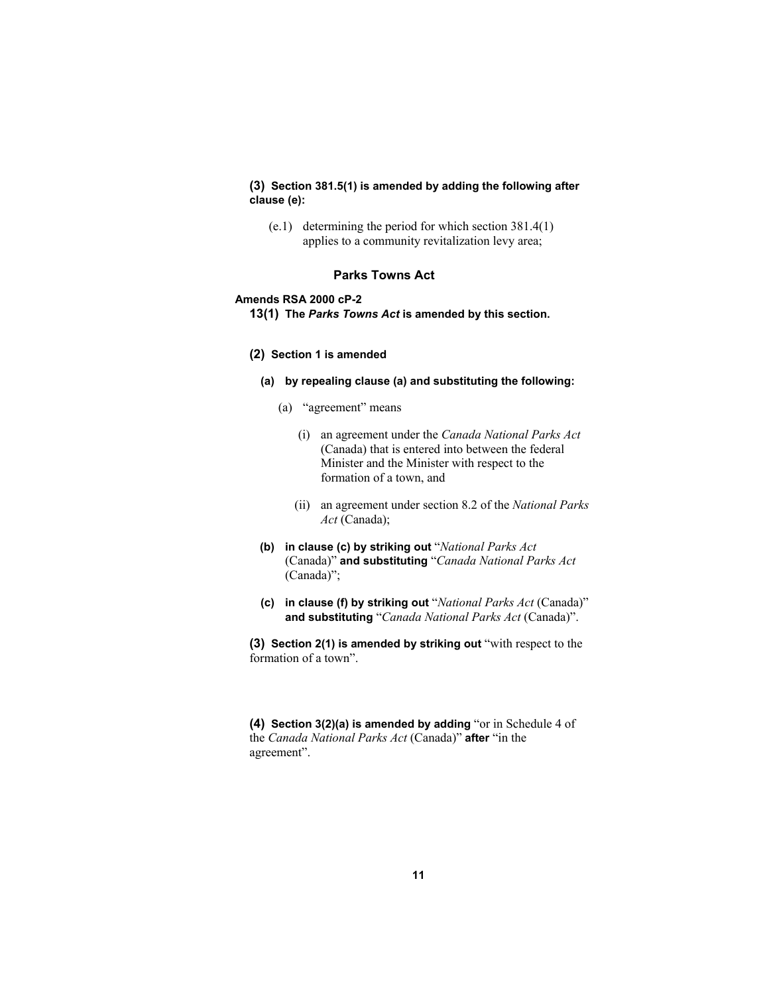## **(3) Section 381.5(1) is amended by adding the following after clause (e):**

 (e.1) determining the period for which section 381.4(1) applies to a community revitalization levy area;

## **Parks Towns Act**

#### **Amends RSA 2000 cP-2**

**13(1) The** *Parks Towns Act* **is amended by this section.**

#### **(2) Section 1 is amended**

- **(a) by repealing clause (a) and substituting the following:** 
	- (a) "agreement" means
		- (i) an agreement under the *Canada National Parks Act* (Canada) that is entered into between the federal Minister and the Minister with respect to the formation of a town, and
		- (ii) an agreement under section 8.2 of the *National Parks Act* (Canada);
- **(b) in clause (c) by striking out** "*National Parks Act* (Canada)" **and substituting** "*Canada National Parks Act* (Canada)";
- **(c) in clause (f) by striking out** "*National Parks Act* (Canada)" **and substituting** "*Canada National Parks Act* (Canada)".

**(3) Section 2(1) is amended by striking out** "with respect to the formation of a town".

**(4) Section 3(2)(a) is amended by adding** "or in Schedule 4 of the *Canada National Parks Act* (Canada)" **after** "in the agreement".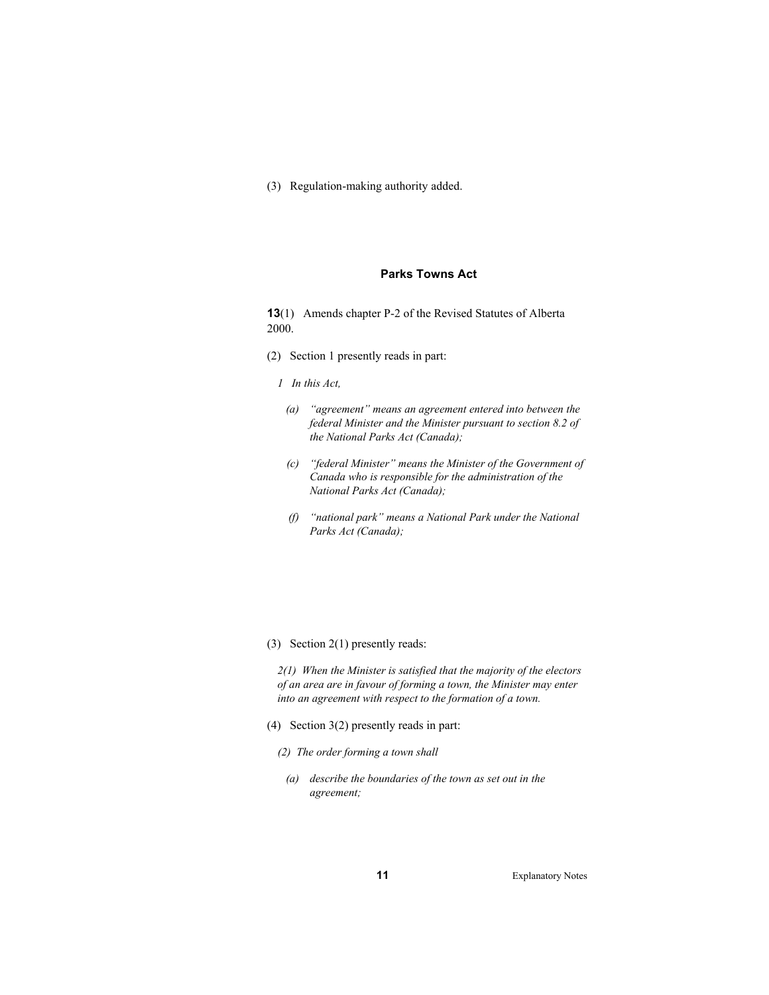(3) Regulation-making authority added.

## **Parks Towns Act**

**13**(1) Amends chapter P-2 of the Revised Statutes of Alberta 2000.

- (2) Section 1 presently reads in part:
	- *1 In this Act,*
	- *(a) "agreement" means an agreement entered into between the federal Minister and the Minister pursuant to section 8.2 of the National Parks Act (Canada);*
	- *(c) "federal Minister" means the Minister of the Government of Canada who is responsible for the administration of the National Parks Act (Canada);*
	- *(f) "national park" means a National Park under the National Parks Act (Canada);*
- (3) Section 2(1) presently reads:

*2(1) When the Minister is satisfied that the majority of the electors of an area are in favour of forming a town, the Minister may enter into an agreement with respect to the formation of a town.* 

- (4) Section 3(2) presently reads in part:
	- *(2) The order forming a town shall*
	- *(a) describe the boundaries of the town as set out in the agreement;*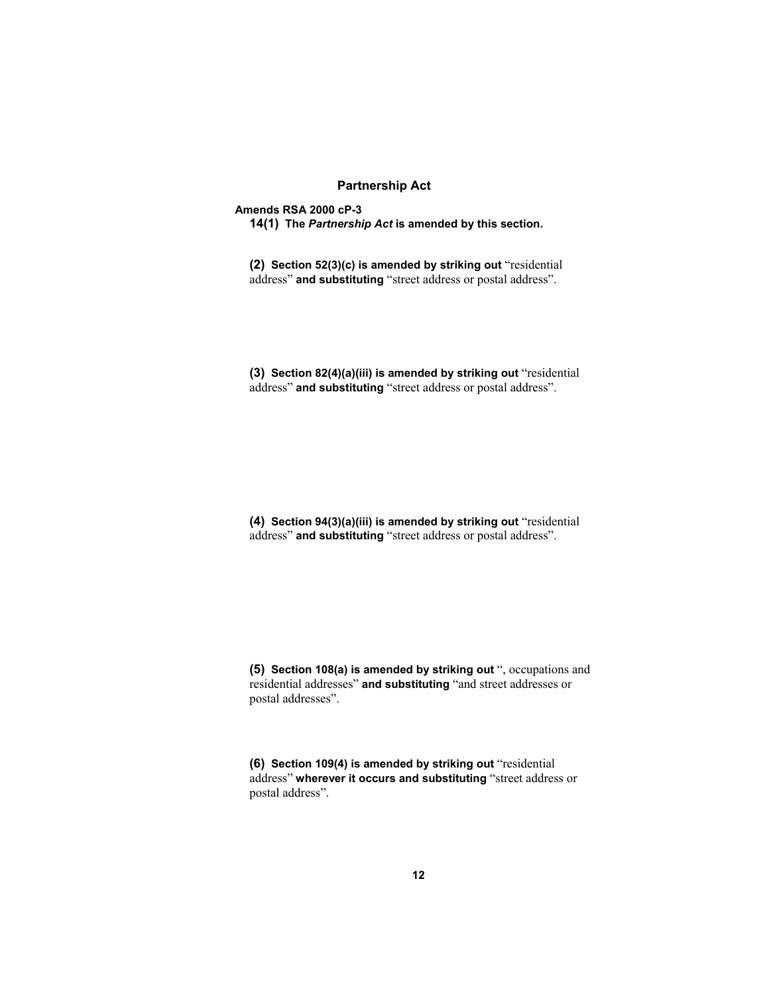## **Partnership Act**

**Amends RSA 2000 cP-3** 

**14(1) The** *Partnership Act* **is amended by this section.** 

**(2) Section 52(3)(c) is amended by striking out** "residential address" **and substituting** "street address or postal address".

**(3) Section 82(4)(a)(iii) is amended by striking out** "residential address" **and substituting** "street address or postal address".

**(4) Section 94(3)(a)(iii) is amended by striking out** "residential address" **and substituting** "street address or postal address".

**(5) Section 108(a) is amended by striking out** ", occupations and residential addresses" **and substituting** "and street addresses or postal addresses".

**(6) Section 109(4) is amended by striking out** "residential address" **wherever it occurs and substituting** "street address or postal address".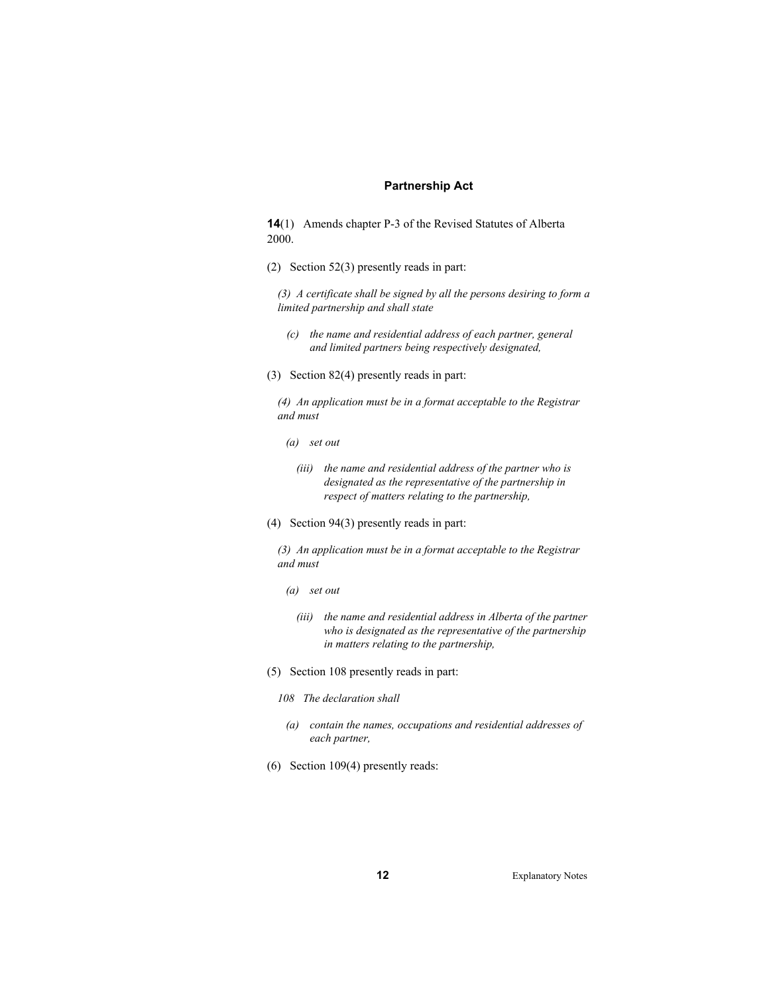## **Partnership Act**

**14**(1) Amends chapter P-3 of the Revised Statutes of Alberta 2000.

(2) Section 52(3) presently reads in part:

*(3) A certificate shall be signed by all the persons desiring to form a limited partnership and shall state* 

- *(c) the name and residential address of each partner, general and limited partners being respectively designated,*
- (3) Section 82(4) presently reads in part:

*(4) An application must be in a format acceptable to the Registrar and must* 

- *(a) set out* 
	- *(iii) the name and residential address of the partner who is designated as the representative of the partnership in respect of matters relating to the partnership,*
- (4) Section 94(3) presently reads in part:

*(3) An application must be in a format acceptable to the Registrar and must* 

- *(a) set out* 
	- *(iii) the name and residential address in Alberta of the partner who is designated as the representative of the partnership in matters relating to the partnership,*
- (5) Section 108 presently reads in part:
	- *108 The declaration shall*
	- *(a) contain the names, occupations and residential addresses of each partner,*
- (6) Section 109(4) presently reads: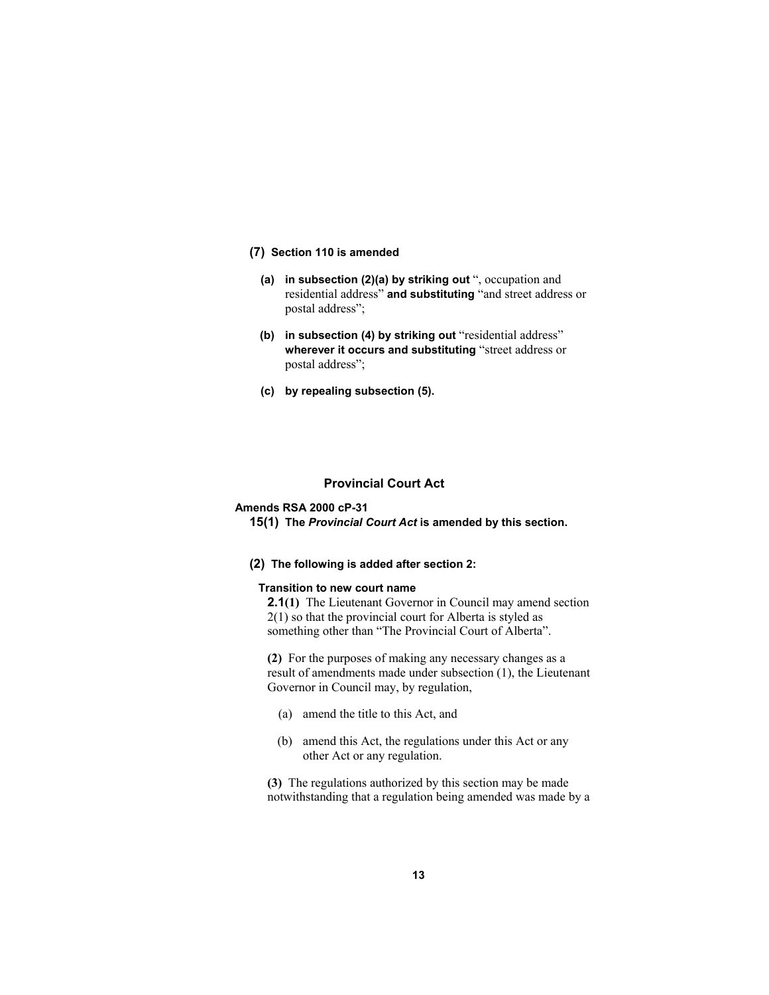#### **(7) Section 110 is amended**

- **(a) in subsection (2)(a) by striking out** ", occupation and residential address" **and substituting** "and street address or postal address";
- **(b) in subsection (4) by striking out** "residential address" **wherever it occurs and substituting** "street address or postal address";
- **(c) by repealing subsection (5).**

## **Provincial Court Act**

#### **Amends RSA 2000 cP-31**

**15(1) The** *Provincial Court Act* **is amended by this section.**

#### **(2) The following is added after section 2:**

#### **Transition to new court name**

**2.1(1)** The Lieutenant Governor in Council may amend section 2(1) so that the provincial court for Alberta is styled as something other than "The Provincial Court of Alberta".

**(2)** For the purposes of making any necessary changes as a result of amendments made under subsection (1), the Lieutenant Governor in Council may, by regulation,

- (a) amend the title to this Act, and
- (b) amend this Act, the regulations under this Act or any other Act or any regulation.

**(3)** The regulations authorized by this section may be made notwithstanding that a regulation being amended was made by a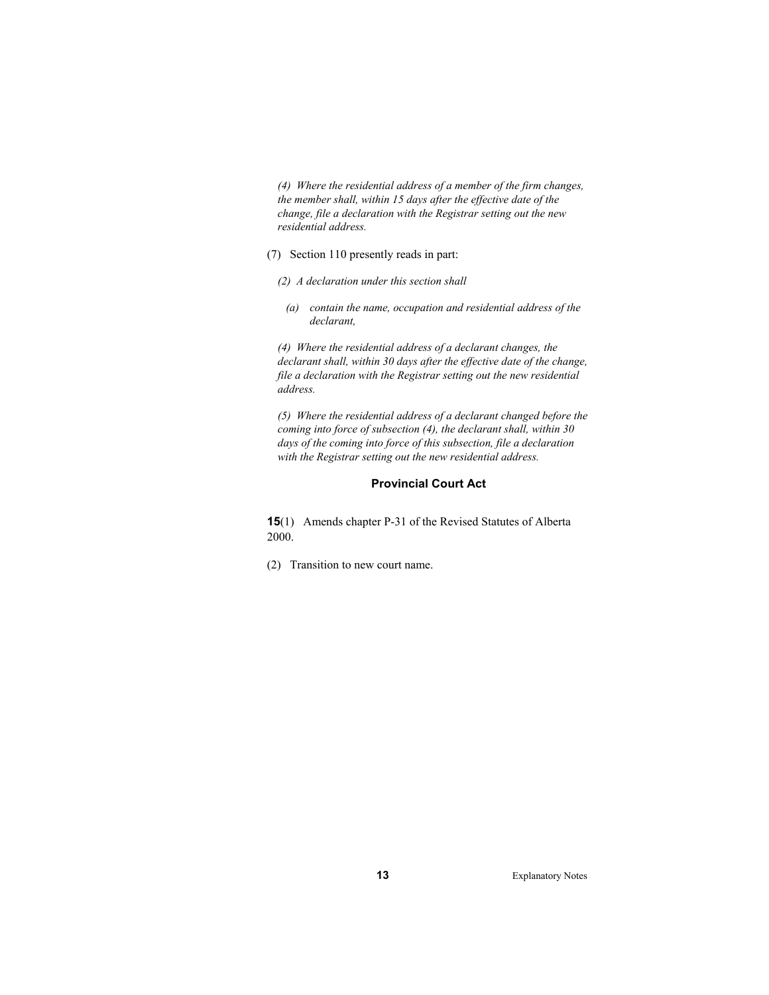*(4) Where the residential address of a member of the firm changes, the member shall, within 15 days after the effective date of the change, file a declaration with the Registrar setting out the new residential address.* 

- (7) Section 110 presently reads in part:
	- *(2) A declaration under this section shall* 
		- *(a) contain the name, occupation and residential address of the declarant,*

*(4) Where the residential address of a declarant changes, the declarant shall, within 30 days after the effective date of the change, file a declaration with the Registrar setting out the new residential address.* 

*(5) Where the residential address of a declarant changed before the coming into force of subsection (4), the declarant shall, within 30 days of the coming into force of this subsection, file a declaration with the Registrar setting out the new residential address.* 

## **Provincial Court Act**

**15**(1) Amends chapter P-31 of the Revised Statutes of Alberta 2000.

(2) Transition to new court name.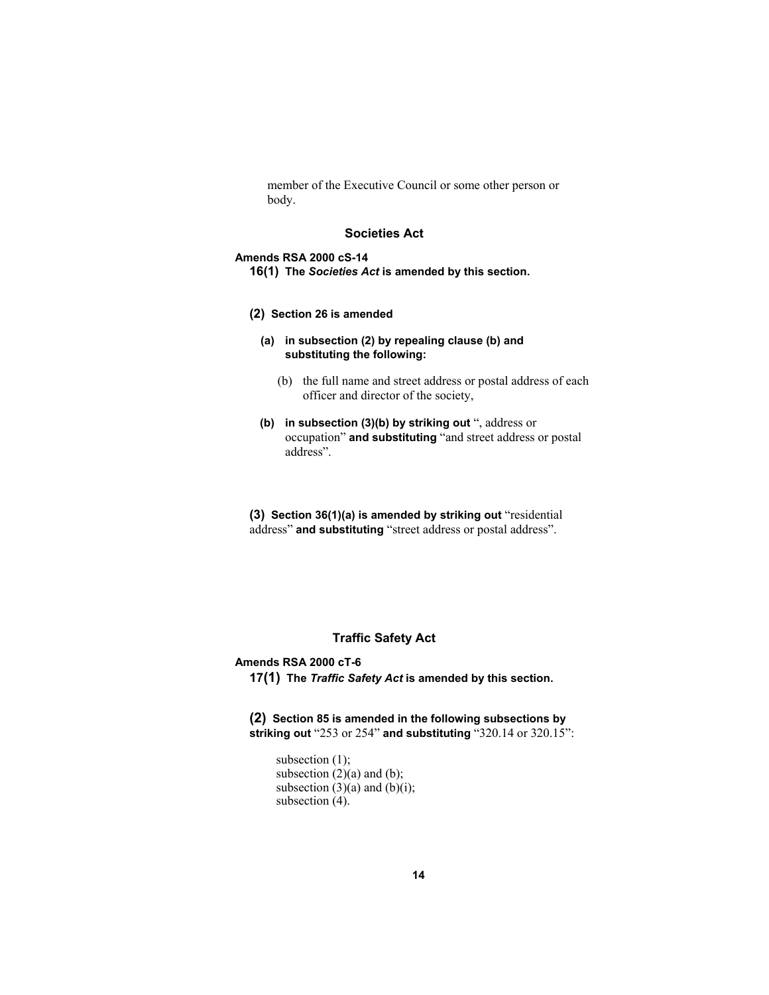member of the Executive Council or some other person or body.

## **Societies Act**

### **Amends RSA 2000 cS-14**

- **16(1) The** *Societies Act* **is amended by this section.**
- **(2) Section 26 is amended**
	- **(a) in subsection (2) by repealing clause (b) and substituting the following:** 
		- (b) the full name and street address or postal address of each officer and director of the society,
	- **(b) in subsection (3)(b) by striking out** ", address or occupation" **and substituting** "and street address or postal address".

**(3) Section 36(1)(a) is amended by striking out** "residential address" **and substituting** "street address or postal address".

## **Traffic Safety Act**

# **Amends RSA 2000 cT-6**

**17(1) The** *Traffic Safety Act* **is amended by this section.** 

**(2) Section 85 is amended in the following subsections by striking out** "253 or 254" **and substituting** "320.14 or 320.15":

subsection (1); subsection  $(2)(a)$  and  $(b)$ ; subsection  $(3)(a)$  and  $(b)(i)$ ; subsection (4).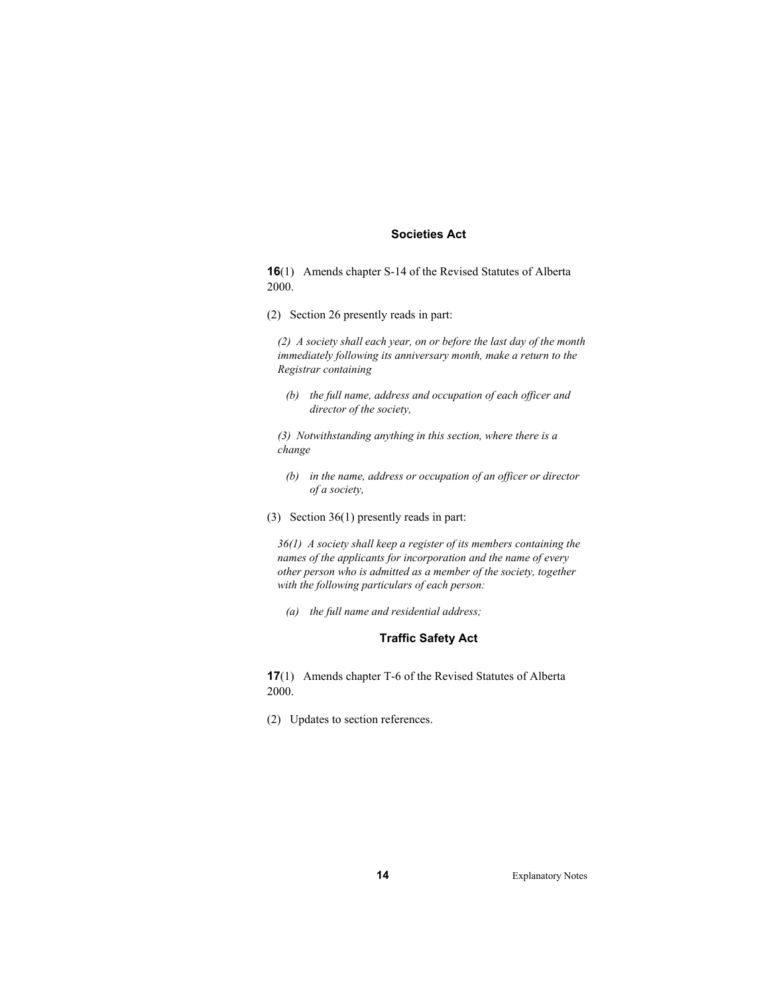## **Societies Act**

**16**(1) Amends chapter S-14 of the Revised Statutes of Alberta 2000.

(2) Section 26 presently reads in part:

*(2) A society shall each year, on or before the last day of the month immediately following its anniversary month, make a return to the Registrar containing* 

 *(b) the full name, address and occupation of each officer and director of the society,* 

*(3) Notwithstanding anything in this section, where there is a change* 

- *(b) in the name, address or occupation of an officer or director of a society,*
- (3) Section 36(1) presently reads in part:

*36(1) A society shall keep a register of its members containing the names of the applicants for incorporation and the name of every other person who is admitted as a member of the society, together with the following particulars of each person:* 

 *(a) the full name and residential address;* 

## **Traffic Safety Act**

**17**(1) Amends chapter T-6 of the Revised Statutes of Alberta 2000.

(2) Updates to section references.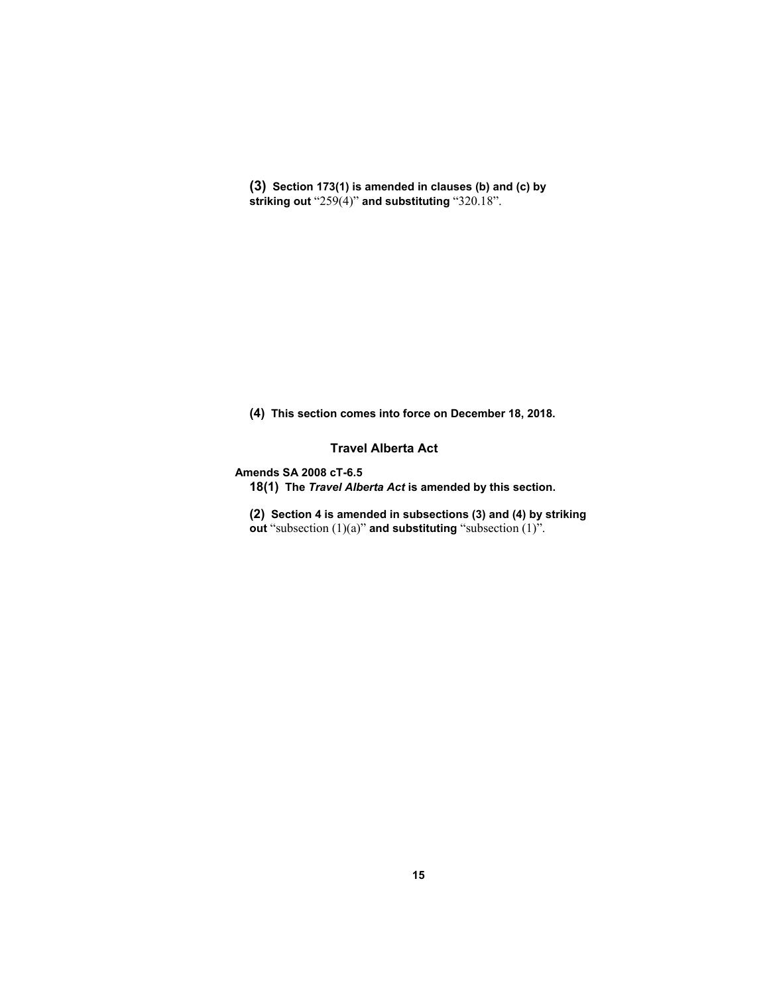**(3) Section 173(1) is amended in clauses (b) and (c) by striking out** "259(4)" **and substituting** "320.18".

**(4) This section comes into force on December 18, 2018.**

**Travel Alberta Act** 

**Amends SA 2008 cT-6.5** 

**18(1) The** *Travel Alberta Act* **is amended by this section.** 

**(2) Section 4 is amended in subsections (3) and (4) by striking out** "subsection (1)(a)" **and substituting** "subsection (1)".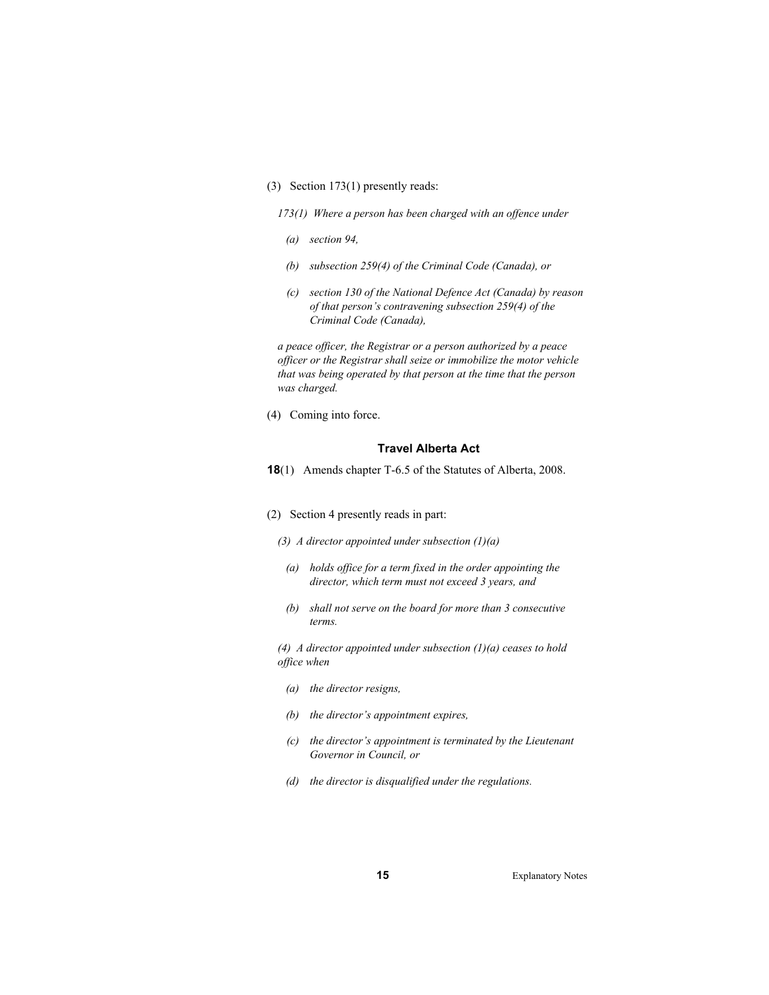- (3) Section 173(1) presently reads:
	- *173(1) Where a person has been charged with an offence under*
	- *(a) section 94,*
	- *(b) subsection 259(4) of the Criminal Code (Canada), or*
	- *(c) section 130 of the National Defence Act (Canada) by reason of that person's contravening subsection 259(4) of the Criminal Code (Canada),*

*a peace officer, the Registrar or a person authorized by a peace officer or the Registrar shall seize or immobilize the motor vehicle that was being operated by that person at the time that the person was charged.* 

(4) Coming into force.

## **Travel Alberta Act**

- **18**(1) Amends chapter T-6.5 of the Statutes of Alberta, 2008.
- (2) Section 4 presently reads in part:
	- *(3) A director appointed under subsection (1)(a)* 
		- *(a) holds office for a term fixed in the order appointing the director, which term must not exceed 3 years, and*
		- *(b) shall not serve on the board for more than 3 consecutive terms.*

*(4) A director appointed under subsection (1)(a) ceases to hold office when* 

- *(a) the director resigns,*
- *(b) the director's appointment expires,*
- *(c) the director's appointment is terminated by the Lieutenant Governor in Council, or*
- *(d) the director is disqualified under the regulations.*